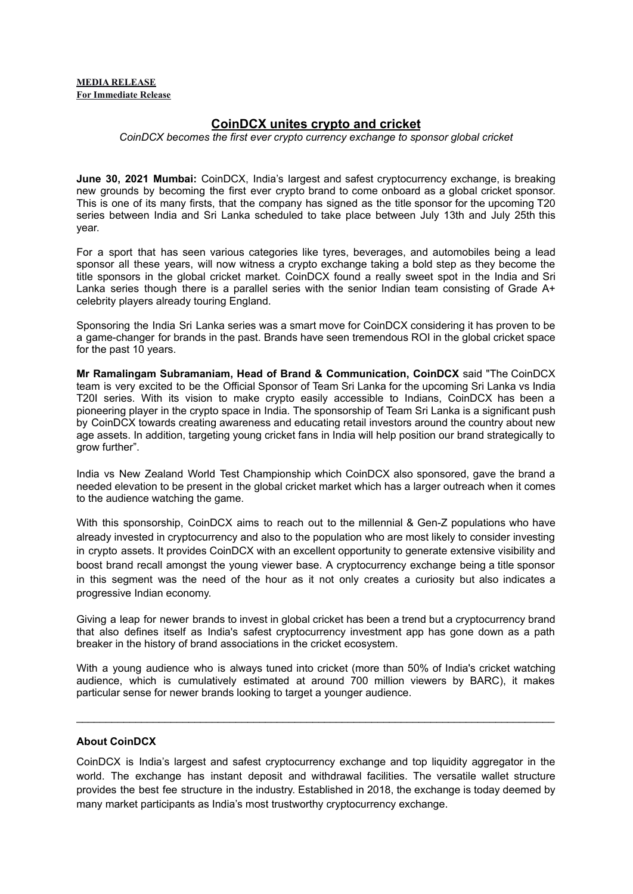## **MEDIA RELEASE For Immediate Release**

## **CoinDCX unites crypto and cricket**

*CoinDCX becomes the first ever crypto currency exchange to sponsor global cricket*

**June 30, 2021 Mumbai:** CoinDCX, India's largest and safest cryptocurrency exchange, is breaking new grounds by becoming the first ever crypto brand to come onboard as a global cricket sponsor. This is one of its many firsts, that the company has signed as the title sponsor for the upcoming T20 series between India and Sri Lanka scheduled to take place between July 13th and July 25th this year.

For a sport that has seen various categories like tyres, beverages, and automobiles being a lead sponsor all these years, will now witness a crypto exchange taking a bold step as they become the title sponsors in the global cricket market. CoinDCX found a really sweet spot in the India and Sri Lanka series though there is a parallel series with the senior Indian team consisting of Grade A+ celebrity players already touring England.

Sponsoring the India Sri Lanka series was a smart move for CoinDCX considering it has proven to be a game-changer for brands in the past. Brands have seen tremendous ROI in the global cricket space for the past 10 years.

**Mr Ramalingam Subramaniam, Head of Brand & Communication, CoinDCX** said "The CoinDCX team is very excited to be the Official Sponsor of Team Sri Lanka for the upcoming Sri Lanka vs India T20I series. With its vision to make crypto easily accessible to Indians, CoinDCX has been a pioneering player in the crypto space in India. The sponsorship of Team Sri Lanka is a significant push by CoinDCX towards creating awareness and educating retail investors around the country about new age assets. In addition, targeting young cricket fans in India will help position our brand strategically to grow further".

India vs New Zealand World Test Championship which CoinDCX also sponsored, gave the brand a needed elevation to be present in the global cricket market which has a larger outreach when it comes to the audience watching the game.

With this sponsorship, CoinDCX aims to reach out to the millennial & Gen-Z populations who have already invested in cryptocurrency and also to the population who are most likely to consider investing in crypto assets. It provides CoinDCX with an excellent opportunity to generate extensive visibility and boost brand recall amongst the young viewer base. A cryptocurrency exchange being a title sponsor in this segment was the need of the hour as it not only creates a curiosity but also indicates a progressive Indian economy.

Giving a leap for newer brands to invest in global cricket has been a trend but a cryptocurrency brand that also defines itself as India's safest cryptocurrency investment app has gone down as a path breaker in the history of brand associations in the cricket ecosystem.

With a young audience who is always tuned into cricket (more than 50% of India's cricket watching audience, which is cumulatively estimated at around 700 million viewers by BARC), it makes particular sense for newer brands looking to target a younger audience.

 $\mathcal{L}_\mathcal{L} = \{ \mathcal{L}_\mathcal{L} = \{ \mathcal{L}_\mathcal{L} = \{ \mathcal{L}_\mathcal{L} = \{ \mathcal{L}_\mathcal{L} = \{ \mathcal{L}_\mathcal{L} = \{ \mathcal{L}_\mathcal{L} = \{ \mathcal{L}_\mathcal{L} = \{ \mathcal{L}_\mathcal{L} = \{ \mathcal{L}_\mathcal{L} = \{ \mathcal{L}_\mathcal{L} = \{ \mathcal{L}_\mathcal{L} = \{ \mathcal{L}_\mathcal{L} = \{ \mathcal{L}_\mathcal{L} = \{ \mathcal{L}_\mathcal{$ 

## **About CoinDCX**

CoinDCX is India's largest and safest cryptocurrency exchange and top liquidity aggregator in the world. The exchange has instant deposit and withdrawal facilities. The versatile wallet structure provides the best fee structure in the industry. Established in 2018, the exchange is today deemed by many market participants as India's most trustworthy cryptocurrency exchange.